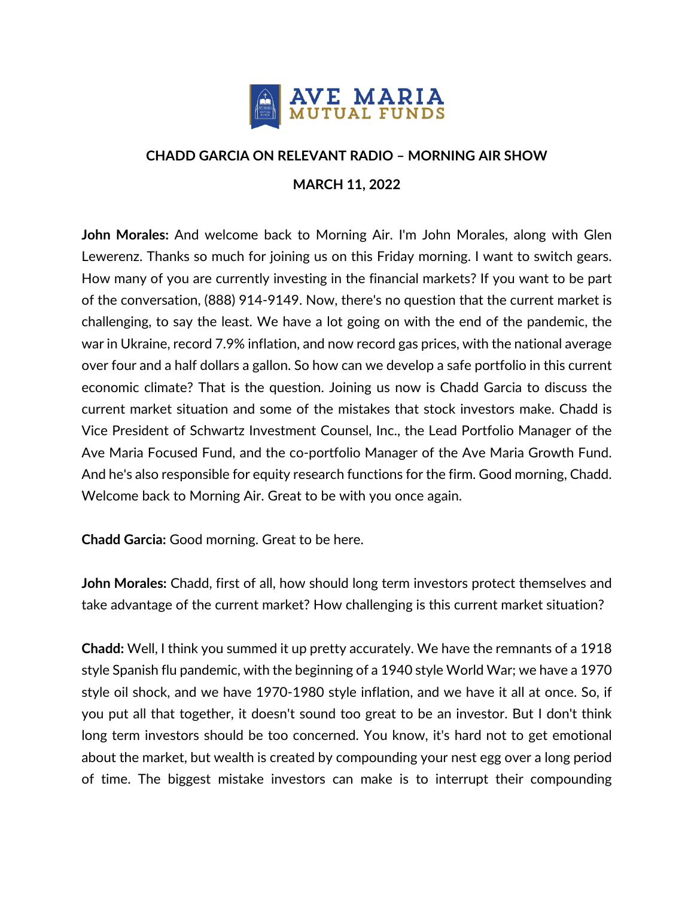

## **CHADD GARCIA ON RELEVANT RADIO – MORNING AIR SHOW MARCH 11, 2022**

**John Morales:** And welcome back to Morning Air. I'm John Morales, along with Glen Lewerenz. Thanks so much for joining us on this Friday morning. I want to switch gears. How many of you are currently investing in the financial markets? If you want to be part of the conversation, (888) 914-9149. Now, there's no question that the current market is challenging, to say the least. We have a lot going on with the end of the pandemic, the war in Ukraine, record 7.9% inflation, and now record gas prices, with the national average over four and a half dollars a gallon. So how can we develop a safe portfolio in this current economic climate? That is the question. Joining us now is Chadd Garcia to discuss the current market situation and some of the mistakes that stock investors make. Chadd is Vice President of Schwartz Investment Counsel, Inc., the Lead Portfolio Manager of the Ave Maria Focused Fund, and the co-portfolio Manager of the Ave Maria Growth Fund. And he's also responsible for equity research functions for the firm. Good morning, Chadd. Welcome back to Morning Air. Great to be with you once again.

**Chadd Garcia:** Good morning. Great to be here.

**John Morales:** Chadd, first of all, how should long term investors protect themselves and take advantage of the current market? How challenging is this current market situation?

**Chadd:** Well, I think you summed it up pretty accurately. We have the remnants of a 1918 style Spanish flu pandemic, with the beginning of a 1940 style World War; we have a 1970 style oil shock, and we have 1970-1980 style inflation, and we have it all at once. So, if you put all that together, it doesn't sound too great to be an investor. But I don't think long term investors should be too concerned. You know, it's hard not to get emotional about the market, but wealth is created by compounding your nest egg over a long period of time. The biggest mistake investors can make is to interrupt their compounding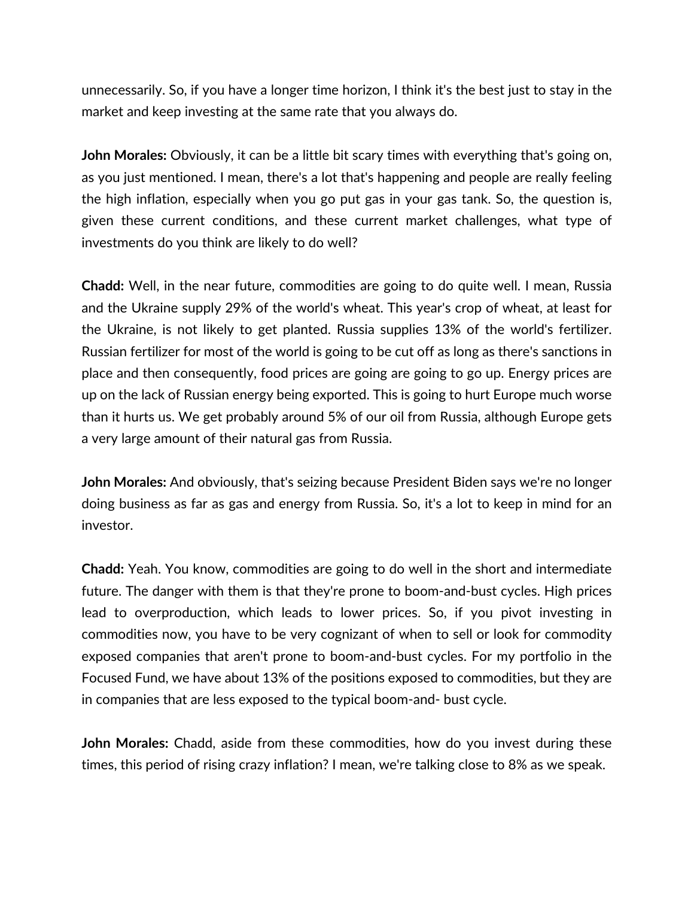unnecessarily. So, if you have a longer time horizon, I think it's the best just to stay in the market and keep investing at the same rate that you always do.

**John Morales:** Obviously, it can be a little bit scary times with everything that's going on, as you just mentioned. I mean, there's a lot that's happening and people are really feeling the high inflation, especially when you go put gas in your gas tank. So, the question is, given these current conditions, and these current market challenges, what type of investments do you think are likely to do well?

**Chadd:** Well, in the near future, commodities are going to do quite well. I mean, Russia and the Ukraine supply 29% of the world's wheat. This year's crop of wheat, at least for the Ukraine, is not likely to get planted. Russia supplies 13% of the world's fertilizer. Russian fertilizer for most of the world is going to be cut off as long as there's sanctions in place and then consequently, food prices are going are going to go up. Energy prices are up on the lack of Russian energy being exported. This is going to hurt Europe much worse than it hurts us. We get probably around 5% of our oil from Russia, although Europe gets a very large amount of their natural gas from Russia.

**John Morales:** And obviously, that's seizing because President Biden says we're no longer doing business as far as gas and energy from Russia. So, it's a lot to keep in mind for an investor.

**Chadd:** Yeah. You know, commodities are going to do well in the short and intermediate future. The danger with them is that they're prone to boom-and-bust cycles. High prices lead to overproduction, which leads to lower prices. So, if you pivot investing in commodities now, you have to be very cognizant of when to sell or look for commodity exposed companies that aren't prone to boom-and-bust cycles. For my portfolio in the Focused Fund, we have about 13% of the positions exposed to commodities, but they are in companies that are less exposed to the typical boom-and- bust cycle.

**John Morales:** Chadd, aside from these commodities, how do you invest during these times, this period of rising crazy inflation? I mean, we're talking close to 8% as we speak.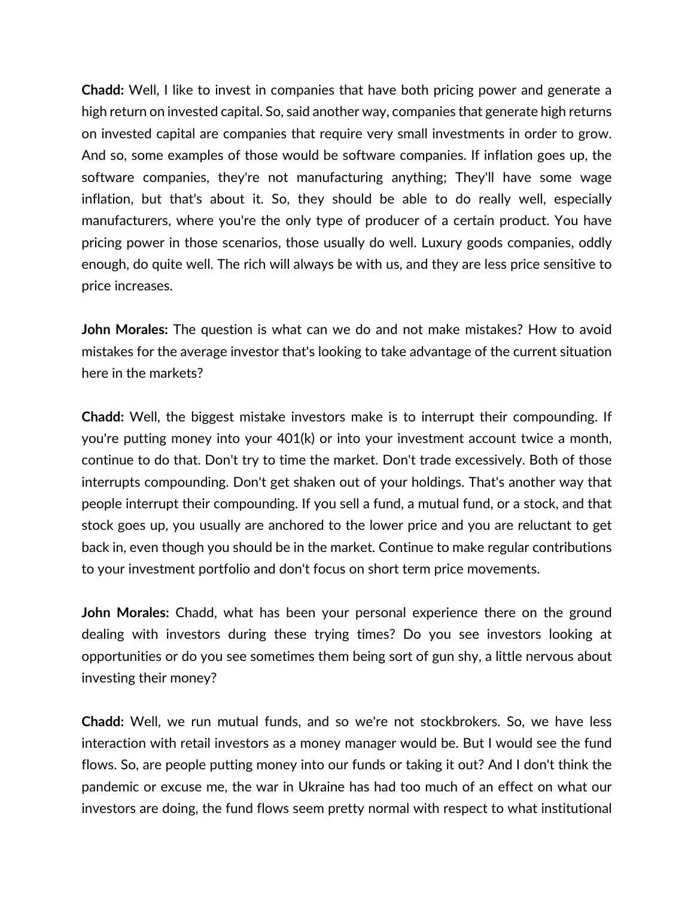**Chadd:** Well, I like to invest in companies that have both pricing power and generate a high return on invested capital. So, said another way, companies that generate high returns on invested capital are companies that require very small investments in order to grow. And so, some examples of those would be software companies. If inflation goes up, the software companies, they're not manufacturing anything; They'll have some wage inflation, but that's about it. So, they should be able to do really well, especially manufacturers, where you're the only type of producer of a certain product. You have pricing power in those scenarios, those usually do well. Luxury goods companies, oddly enough, do quite well. The rich will always be with us, and they are less price sensitive to price increases.

**John Morales:** The question is what can we do and not make mistakes? How to avoid mistakes for the average investor that's looking to take advantage of the current situation here in the markets?

**Chadd:** Well, the biggest mistake investors make is to interrupt their compounding. If you're putting money into your 401(k) or into your investment account twice a month, continue to do that. Don't try to time the market. Don't trade excessively. Both of those interrupts compounding. Don't get shaken out of your holdings. That's another way that people interrupt their compounding. If you sell a fund, a mutual fund, or a stock, and that stock goes up, you usually are anchored to the lower price and you are reluctant to get back in, even though you should be in the market. Continue to make regular contributions to your investment portfolio and don't focus on short term price movements.

**John Morales:** Chadd, what has been your personal experience there on the ground dealing with investors during these trying times? Do you see investors looking at opportunities or do you see sometimes them being sort of gun shy, a little nervous about investing their money?

**Chadd:** Well, we run mutual funds, and so we're not stockbrokers. So, we have less interaction with retail investors as a money manager would be. But I would see the fund flows. So, are people putting money into our funds or taking it out? And I don't think the pandemic or excuse me, the war in Ukraine has had too much of an effect on what our investors are doing, the fund flows seem pretty normal with respect to what institutional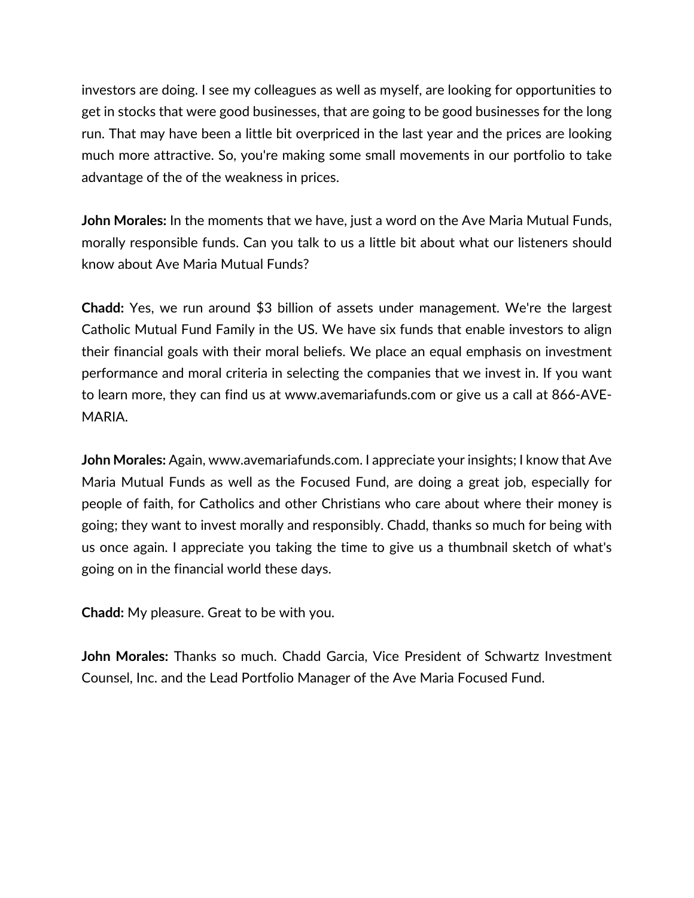investors are doing. I see my colleagues as well as myself, are looking for opportunities to get in stocks that were good businesses, that are going to be good businesses for the long run. That may have been a little bit overpriced in the last year and the prices are looking much more attractive. So, you're making some small movements in our portfolio to take advantage of the of the weakness in prices.

**John Morales:** In the moments that we have, just a word on the Ave Maria Mutual Funds, morally responsible funds. Can you talk to us a little bit about what our listeners should know about Ave Maria Mutual Funds?

**Chadd:** Yes, we run around \$3 billion of assets under management. We're the largest Catholic Mutual Fund Family in the US. We have six funds that enable investors to align their financial goals with their moral beliefs. We place an equal emphasis on investment performance and moral criteria in selecting the companies that we invest in. If you want to learn more, they can find us at www.avemariafunds.com or give us a call at 866-AVE-MARIA.

**John Morales:** Again, www.avemariafunds.com. I appreciate your insights; I know that Ave Maria Mutual Funds as well as the Focused Fund, are doing a great job, especially for people of faith, for Catholics and other Christians who care about where their money is going; they want to invest morally and responsibly. Chadd, thanks so much for being with us once again. I appreciate you taking the time to give us a thumbnail sketch of what's going on in the financial world these days.

**Chadd:** My pleasure. Great to be with you.

**John Morales:** Thanks so much. Chadd Garcia, Vice President of Schwartz Investment Counsel, Inc. and the Lead Portfolio Manager of the Ave Maria Focused Fund.